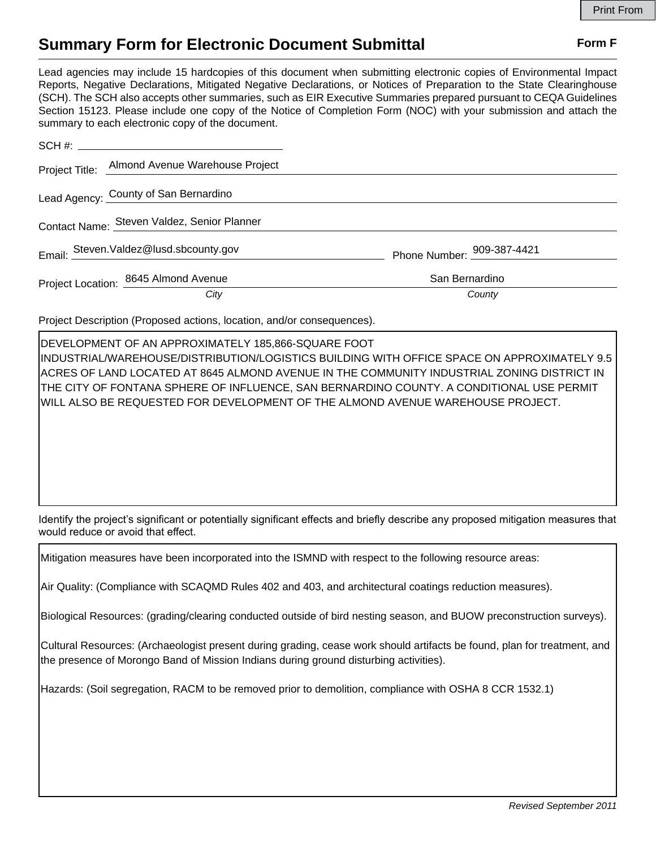## **Summary Form for Electronic Document Submittal Form F Form F**

Lead agencies may include 15 hardcopies of this document when submitting electronic copies of Environmental Impact Reports, Negative Declarations, Mitigated Negative Declarations, or Notices of Preparation to the State Clearinghouse (SCH). The SCH also accepts other summaries, such as EIR Executive Summaries prepared pursuant to CEQA Guidelines Section 15123. Please include one copy of the Notice of Completion Form (NOC) with your submission and attach the summary to each electronic copy of the document.

|                                             | Project Title: Almond Avenue Warehouse Project |                            |
|---------------------------------------------|------------------------------------------------|----------------------------|
|                                             | Lead Agency: County of San Bernardino          |                            |
| Contact Name: Steven Valdez, Senior Planner |                                                |                            |
|                                             | Email: Steven.Valdez@lusd.sbcounty.gov         | Phone Number: 909-387-4421 |
|                                             | Project Location: 8645 Almond Avenue           | San Bernardino             |
|                                             | City                                           | County                     |

Project Description (Proposed actions, location, and/or consequences).

DEVELOPMENT OF AN APPROXIMATELY 185,866-SQUARE FOOT INDUSTRIAL/WAREHOUSE/DISTRIBUTION/LOGISTICS BUILDING WITH OFFICE SPACE ON APPROXIMATELY 9.5 ACRES OF LAND LOCATED AT 8645 ALMOND AVENUE IN THE COMMUNITY INDUSTRIAL ZONING DISTRICT IN THE CITY OF FONTANA SPHERE OF INFLUENCE, SAN BERNARDINO COUNTY. A CONDITIONAL USE PERMIT WILL ALSO BE REQUESTED FOR DEVELOPMENT OF THE ALMOND AVENUE WAREHOUSE PROJECT.

Identify the project's significant or potentially significant effects and briefly describe any proposed mitigation measures that would reduce or avoid that effect.

Mitigation measures have been incorporated into the ISMND with respect to the following resource areas:

Air Quality: (Compliance with SCAQMD Rules 402 and 403, and architectural coatings reduction measures).

Biological Resources: (grading/clearing conducted outside of bird nesting season, and BUOW preconstruction surveys).

Cultural Resources: (Archaeologist present during grading, cease work should artifacts be found, plan for treatment, and the presence of Morongo Band of Mission Indians during ground disturbing activities).

Hazards: (Soil segregation, RACM to be removed prior to demolition, compliance with OSHA 8 CCR 1532.1)